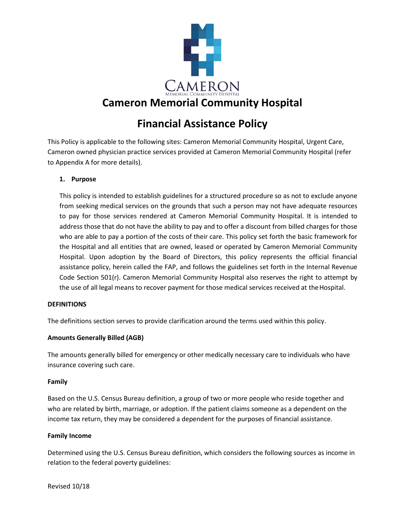

# **Financial Assistance Policy**

This Policy is applicable to the following sites: Cameron Memorial Community Hospital, Urgent Care, Cameron owned physician practice services provided at Cameron Memorial Community Hospital (refer to Appendix A for more details).

#### **1. Purpose**

This policy is intended to establish guidelines for a structured procedure so as not to exclude anyone from seeking medical services on the grounds that such a person may not have adequate resources to pay for those services rendered at Cameron Memorial Community Hospital. It is intended to address those that do not have the ability to pay and to offer a discount from billed charges for those who are able to pay a portion of the costs of their care. This policy set forth the basic framework for the Hospital and all entities that are owned, leased or operated by Cameron Memorial Community Hospital. Upon adoption by the Board of Directors, this policy represents the official financial assistance policy, herein called the FAP, and follows the guidelines set forth in the Internal Revenue Code Section 501(r). Cameron Memorial Community Hospital also reserves the right to attempt by the use of all legal means to recover payment for those medical services received at the Hospital.

#### **DEFINITIONS**

The definitions section serves to provide clarification around the terms used within this policy.

#### **Amounts Generally Billed (AGB)**

The amounts generally billed for emergency or other medically necessary care to individuals who have insurance covering such care.

#### **Family**

Based on the U.S. Census Bureau definition, a group of two or more people who reside together and who are related by birth, marriage, or adoption. If the patient claims someone as a dependent on the income tax return, they may be considered a dependent for the purposes of financial assistance.

#### **Family Income**

Determined using the U.S. Census Bureau definition, which considers the following sources as income in relation to the federal poverty guidelines: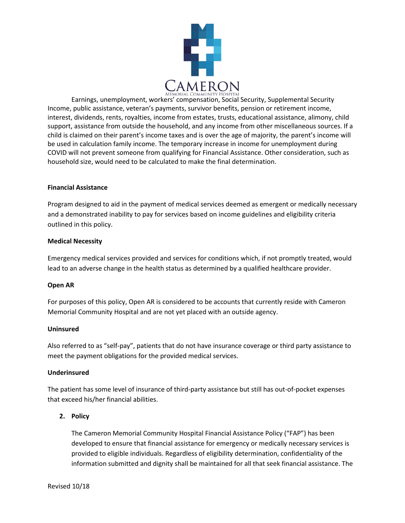

Earnings, unemployment, workers' compensation, Social Security, Supplemental Security Income, public assistance, veteran's payments, survivor benefits, pension or retirement income, interest, dividends, rents, royalties, income from estates, trusts, educational assistance, alimony, child support, assistance from outside the household, and any income from other miscellaneous sources. If a child is claimed on their parent's income taxes and is over the age of majority, the parent's income will be used in calculation family income. The temporary increase in income for unemployment during COVID will not prevent someone from qualifying for Financial Assistance. Other consideration, such as household size, would need to be calculated to make the final determination.

#### **Financial Assistance**

Program designed to aid in the payment of medical services deemed as emergent or medically necessary and a demonstrated inability to pay for services based on income guidelines and eligibility criteria outlined in this policy.

#### **Medical Necessity**

Emergency medical services provided and services for conditions which, if not promptly treated, would lead to an adverse change in the health status as determined by a qualified healthcare provider.

#### **Open AR**

For purposes of this policy, Open AR is considered to be accounts that currently reside with Cameron Memorial Community Hospital and are not yet placed with an outside agency.

#### **Uninsured**

Also referred to as "self-pay", patients that do not have insurance coverage or third party assistance to meet the payment obligations for the provided medical services.

#### **Underinsured**

The patient has some level of insurance of third-party assistance but still has out-of-pocket expenses that exceed his/her financial abilities.

#### **2. Policy**

The Cameron Memorial Community Hospital Financial Assistance Policy ("FAP") has been developed to ensure that financial assistance for emergency or medically necessary services is provided to eligible individuals. Regardless of eligibility determination, confidentiality of the information submitted and dignity shall be maintained for all that seek financial assistance. The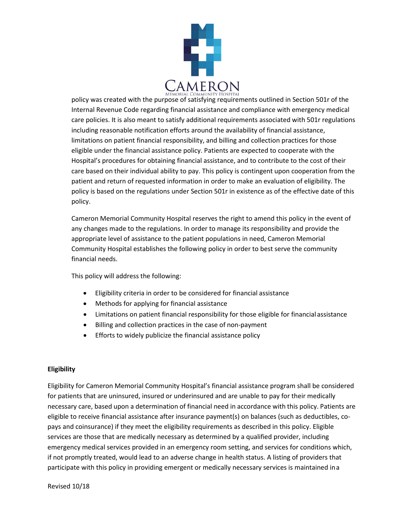

policy was created with the purpose of satisfying requirements outlined in Section 501r of the Internal Revenue Code regarding financial assistance and compliance with emergency medical care policies. It is also meant to satisfy additional requirements associated with 501r regulations including reasonable notification efforts around the availability of financial assistance, limitations on patient financial responsibility, and billing and collection practices for those eligible under the financial assistance policy. Patients are expected to cooperate with the Hospital's procedures for obtaining financial assistance, and to contribute to the cost of their care based on their individual ability to pay. This policy is contingent upon cooperation from the patient and return of requested information in order to make an evaluation of eligibility. The policy is based on the regulations under Section 501r in existence as of the effective date of this policy.

Cameron Memorial Community Hospital reserves the right to amend this policy in the event of any changes made to the regulations. In order to manage its responsibility and provide the appropriate level of assistance to the patient populations in need, Cameron Memorial Community Hospital establishes the following policy in order to best serve the community financial needs.

This policy will address the following:

- Eligibility criteria in order to be considered for financial assistance
- Methods for applying for financial assistance
- Limitations on patient financial responsibility for those eligible for financial assistance
- Billing and collection practices in the case of non-payment
- Efforts to widely publicize the financial assistance policy

#### **Eligibility**

Eligibility for Cameron Memorial Community Hospital's financial assistance program shall be considered for patients that are uninsured, insured or underinsured and are unable to pay for their medically necessary care, based upon a determination of financial need in accordance with this policy. Patients are eligible to receive financial assistance after insurance payment(s) on balances (such as deductibles, copays and coinsurance) if they meet the eligibility requirements as described in this policy. Eligible services are those that are medically necessary as determined by a qualified provider, including emergency medical services provided in an emergency room setting, and services for conditions which, if not promptly treated, would lead to an adverse change in health status. A listing of providers that participate with this policy in providing emergent or medically necessary services is maintained ina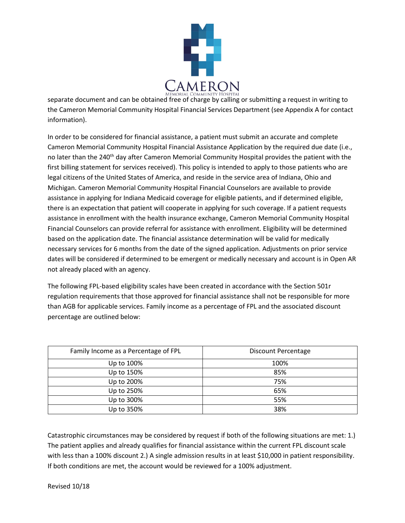

separate document and can be obtained free of charge by calling or submitting a request in writing to the Cameron Memorial Community Hospital Financial Services Department (see Appendix A for contact information).

In order to be considered for financial assistance, a patient must submit an accurate and complete Cameron Memorial Community Hospital Financial Assistance Application by the required due date (i.e., no later than the 240<sup>th</sup> day after Cameron Memorial Community Hospital provides the patient with the first billing statement for services received). This policy is intended to apply to those patients who are legal citizens of the United States of America, and reside in the service area of Indiana, Ohio and Michigan. Cameron Memorial Community Hospital Financial Counselors are available to provide assistance in applying for Indiana Medicaid coverage for eligible patients, and if determined eligible, there is an expectation that patient will cooperate in applying for such coverage. If a patient requests assistance in enrollment with the health insurance exchange, Cameron Memorial Community Hospital Financial Counselors can provide referral for assistance with enrollment. Eligibility will be determined based on the application date. The financial assistance determination will be valid for medically necessary services for 6 months from the date of the signed application. Adjustments on prior service dates will be considered if determined to be emergent or medically necessary and account is in Open AR not already placed with an agency.

The following FPL-based eligibility scales have been created in accordance with the Section 501r regulation requirements that those approved for financial assistance shall not be responsible for more than AGB for applicable services. Family income as a percentage of FPL and the associated discount percentage are outlined below:

| Family Income as a Percentage of FPL | Discount Percentage |
|--------------------------------------|---------------------|
| Up to 100%                           | 100%                |
| Up to 150%                           | 85%                 |
| Up to 200%                           | 75%                 |
| Up to 250%                           | 65%                 |
| Up to 300%                           | 55%                 |
| Up to 350%                           | 38%                 |

Catastrophic circumstances may be considered by request if both of the following situations are met: 1.) The patient applies and already qualifies for financial assistance within the current FPL discount scale with less than a 100% discount 2.) A single admission results in at least \$10,000 in patient responsibility. If both conditions are met, the account would be reviewed for a 100% adjustment.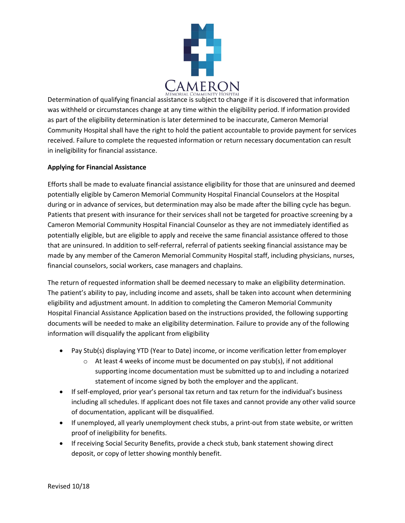

Determination of qualifying financial assistance is subject to change if it is discovered that information was withheld or circumstances change at any time within the eligibility period. If information provided as part of the eligibility determination is later determined to be inaccurate, Cameron Memorial Community Hospital shall have the right to hold the patient accountable to provide payment for services received. Failure to complete the requested information or return necessary documentation can result in ineligibility for financial assistance.

#### **Applying for Financial Assistance**

Efforts shall be made to evaluate financial assistance eligibility for those that are uninsured and deemed potentially eligible by Cameron Memorial Community Hospital Financial Counselors at the Hospital during or in advance of services, but determination may also be made after the billing cycle has begun. Patients that present with insurance for their services shall not be targeted for proactive screening by a Cameron Memorial Community Hospital Financial Counselor as they are not immediately identified as potentially eligible, but are eligible to apply and receive the same financial assistance offered to those that are uninsured. In addition to self-referral, referral of patients seeking financial assistance may be made by any member of the Cameron Memorial Community Hospital staff, including physicians, nurses, financial counselors, social workers, case managers and chaplains.

The return of requested information shall be deemed necessary to make an eligibility determination. The patient's ability to pay, including income and assets, shall be taken into account when determining eligibility and adjustment amount. In addition to completing the Cameron Memorial Community Hospital Financial Assistance Application based on the instructions provided, the following supporting documents will be needed to make an eligibility determination. Failure to provide any of the following information will disqualify the applicant from eligibility

- Pay Stub(s) displaying YTD (Year to Date) income, or income verification letter fromemployer
	- $\circ$  At least 4 weeks of income must be documented on pay stub(s), if not additional supporting income documentation must be submitted up to and including a notarized statement of income signed by both the employer and the applicant.
- If self-employed, prior year's personal tax return and tax return for the individual's business including all schedules. If applicant does not file taxes and cannot provide any other valid source of documentation, applicant will be disqualified.
- If unemployed, all yearly unemployment check stubs, a print-out from state website, or written proof of ineligibility for benefits.
- If receiving Social Security Benefits, provide a check stub, bank statement showing direct deposit, or copy of letter showing monthly benefit.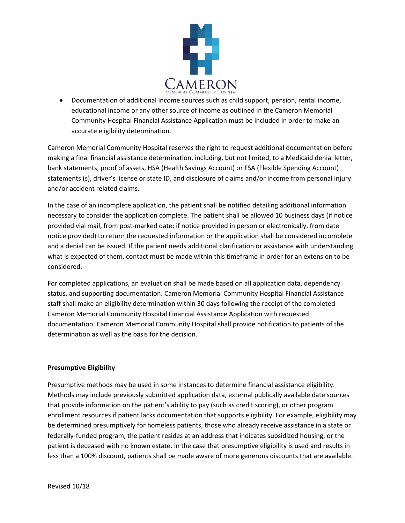

• Documentation of additional income sources such as child support, pension, rental income, educational income or any other source of income as outlined in the Cameron Memorial Community Hospital Financial Assistance Application must be included in order to make an accurate eligibility determination.

Cameron Memorial Community Hospital reserves the right to request additional documentation before making a final financial assistance determination, including, but not limited, to a Medicaid denial letter, bank statements, proof of assets, HSA (Health Savings Account) or FSA (Flexible Spending Account) statements (s), driver's license or state ID, and disclosure of claims and/or income from personal injury and/or accident related claims.

In the case of an incomplete application, the patient shall be notified detailing additional information necessary to consider the application complete. The patient shall be allowed 10 business days (if notice provided vial mail, from post-marked date; if notice provided in person or electronically, from date notice provided) to return the requested information or the application shall be considered incomplete and a denial can be issued. If the patient needs additional clarification or assistance with understanding what is expected of them, contact must be made within this timeframe in order for an extension to be considered.

For completed applications, an evaluation shall be made based on all application data, dependency status, and supporting documentation. Cameron Memorial Community Hospital Financial Assistance staff shall make an eligibility determination within 30 days following the receipt of the completed Cameron Memorial Community Hospital Financial Assistance Application with requested documentation. Cameron Memorial Community Hospital shall provide notification to patients of the determination as well as the basis for the decision.

#### **Presumptive Eligibility**

Presumptive methods may be used in some instances to determine financial assistance eligibility. Methods may include previously submitted application data, external publically available date sources that provide information on the patient's ability to pay (such as credit scoring), or other program enrollment resources if patient lacks documentation that supports eligibility. For example, eligibility may be determined presumptively for homeless patients, those who already receive assistance in a state or federally-funded program, the patient resides at an address that indicates subsidized housing, or the patient is deceased with no known estate. In the case that presumptive eligibility is used and results in less than a 100% discount, patients shall be made aware of more generous discounts that are available.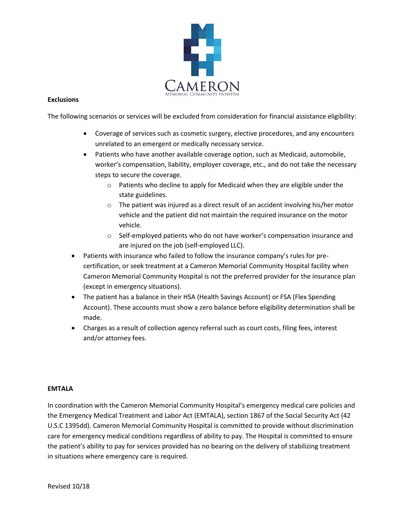

#### **Exclusions**

The following scenarios or services will be excluded from consideration for financial assistance eligibility:

- Coverage of services such as cosmetic surgery, elective procedures, and any encounters unrelated to an emergent or medically necessary service.
- Patients who have another available coverage option, such as Medicaid, automobile, worker's compensation, liability, employer coverage, etc., and do not take the necessary steps to secure the coverage.
	- o Patients who decline to apply for Medicaid when they are eligible under the state guidelines.
	- $\circ$  The patient was injured as a direct result of an accident involving his/her motor vehicle and the patient did not maintain the required insurance on the motor vehicle.
	- o Self-employed patients who do not have worker's compensation insurance and are injured on the job (self-employed LLC).
- Patients with insurance who failed to follow the insurance company's rules for precertification, or seek treatment at a Cameron Memorial Community Hospital facility when Cameron Memorial Community Hospital is not the preferred provider for the insurance plan (except in emergency situations).
- The patient has a balance in their HSA (Health Savings Account) or FSA (Flex Spending Account). These accounts must show a zero balance before eligibility determination shall be made.
- Charges as a result of collection agency referral such as court costs, filing fees, interest and/or attorney fees.

#### **EMTALA**

In coordination with the Cameron Memorial Community Hospital's emergency medical care policies and the Emergency Medical Treatment and Labor Act (EMTALA), section 1867 of the Social Security Act (42 U.S.C 1395dd). Cameron Memorial Community Hospital is committed to provide without discrimination care for emergency medical conditions regardless of ability to pay. The Hospital is committed to ensure the patient's ability to pay for services provided has no bearing on the delivery of stabilizing treatment in situations where emergency care is required.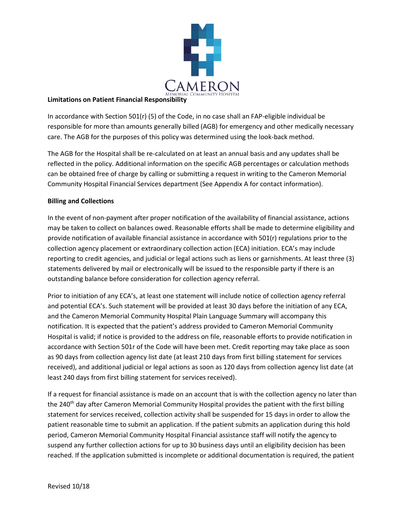

#### **Limitations on Patient Financial Responsibility**

In accordance with Section 501(r) (5) of the Code, in no case shall an FAP-eligible individual be responsible for more than amounts generally billed (AGB) for emergency and other medically necessary care. The AGB for the purposes of this policy was determined using the look-back method.

The AGB for the Hospital shall be re-calculated on at least an annual basis and any updates shall be reflected in the policy. Additional information on the specific AGB percentages or calculation methods can be obtained free of charge by calling or submitting a request in writing to the Cameron Memorial Community Hospital Financial Services department (See Appendix A for contact information).

#### **Billing and Collections**

In the event of non-payment after proper notification of the availability of financial assistance, actions may be taken to collect on balances owed. Reasonable efforts shall be made to determine eligibility and provide notification of available financial assistance in accordance with 501(r) regulations prior to the collection agency placement or extraordinary collection action (ECA) initiation. ECA's may include reporting to credit agencies, and judicial or legal actions such as liens or garnishments. At least three (3) statements delivered by mail or electronically will be issued to the responsible party if there is an outstanding balance before consideration for collection agency referral.

Prior to initiation of any ECA's, at least one statement will include notice of collection agency referral and potential ECA's. Such statement will be provided at least 30 days before the initiation of any ECA, and the Cameron Memorial Community Hospital Plain Language Summary will accompany this notification. It is expected that the patient's address provided to Cameron Memorial Community Hospital is valid; if notice is provided to the address on file, reasonable efforts to provide notification in accordance with Section 501r of the Code will have been met. Credit reporting may take place as soon as 90 days from collection agency list date (at least 210 days from first billing statement for services received), and additional judicial or legal actions as soon as 120 days from collection agency list date (at least 240 days from first billing statement for services received).

If a request for financial assistance is made on an account that is with the collection agency no later than the 240<sup>th</sup> day after Cameron Memorial Community Hospital provides the patient with the first billing statement for services received, collection activity shall be suspended for 15 days in order to allow the patient reasonable time to submit an application. If the patient submits an application during this hold period, Cameron Memorial Community Hospital Financial assistance staff will notify the agency to suspend any further collection actions for up to 30 business days until an eligibility decision has been reached. If the application submitted is incomplete or additional documentation is required, the patient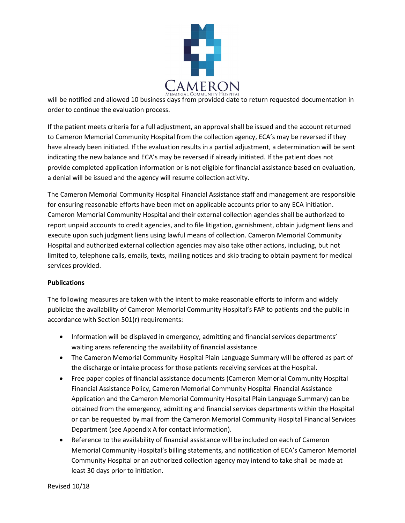

will be notified and allowed 10 business days from provided date to return requested documentation in order to continue the evaluation process.

If the patient meets criteria for a full adjustment, an approval shall be issued and the account returned to Cameron Memorial Community Hospital from the collection agency, ECA's may be reversed if they have already been initiated. If the evaluation results in a partial adjustment, a determination will be sent indicating the new balance and ECA's may be reversed if already initiated. If the patient does not provide completed application information or is not eligible for financial assistance based on evaluation, a denial will be issued and the agency will resume collection activity.

The Cameron Memorial Community Hospital Financial Assistance staff and management are responsible for ensuring reasonable efforts have been met on applicable accounts prior to any ECA initiation. Cameron Memorial Community Hospital and their external collection agencies shall be authorized to report unpaid accounts to credit agencies, and to file litigation, garnishment, obtain judgment liens and execute upon such judgment liens using lawful means of collection. Cameron Memorial Community Hospital and authorized external collection agencies may also take other actions, including, but not limited to, telephone calls, emails, texts, mailing notices and skip tracing to obtain payment for medical services provided.

#### **Publications**

The following measures are taken with the intent to make reasonable efforts to inform and widely publicize the availability of Cameron Memorial Community Hospital's FAP to patients and the public in accordance with Section 501(r) requirements:

- Information will be displayed in emergency, admitting and financial services departments' waiting areas referencing the availability of financial assistance.
- The Cameron Memorial Community Hospital Plain Language Summary will be offered as part of the discharge or intake process for those patients receiving services at the Hospital.
- Free paper copies of financial assistance documents (Cameron Memorial Community Hospital Financial Assistance Policy, Cameron Memorial Community Hospital Financial Assistance Application and the Cameron Memorial Community Hospital Plain Language Summary) can be obtained from the emergency, admitting and financial services departments within the Hospital or can be requested by mail from the Cameron Memorial Community Hospital Financial Services Department (see Appendix A for contact information).
- Reference to the availability of financial assistance will be included on each of Cameron Memorial Community Hospital's billing statements, and notification of ECA's Cameron Memorial Community Hospital or an authorized collection agency may intend to take shall be made at least 30 days prior to initiation.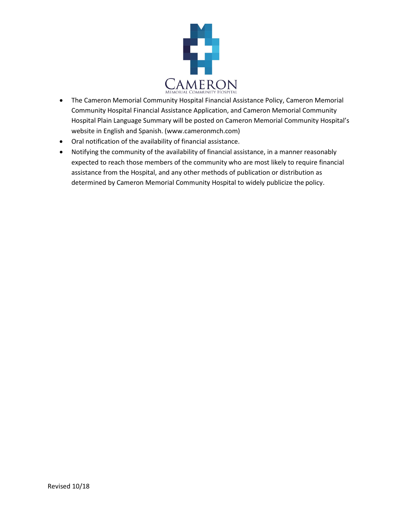

- The Cameron Memorial Community Hospital Financial Assistance Policy, Cameron Memorial Community Hospital Financial Assistance Application, and Cameron Memorial Community Hospital Plain Language Summary will be posted on Cameron Memorial Community Hospital's website in English and Spanish. (www.cameronmch.com)
- Oral notification of the availability of financial assistance.
- Notifying the community of the availability of financial assistance, in a manner reasonably expected to reach those members of the community who are most likely to require financial assistance from the Hospital, and any other methods of publication or distribution as determined by Cameron Memorial Community Hospital to widely publicize the policy.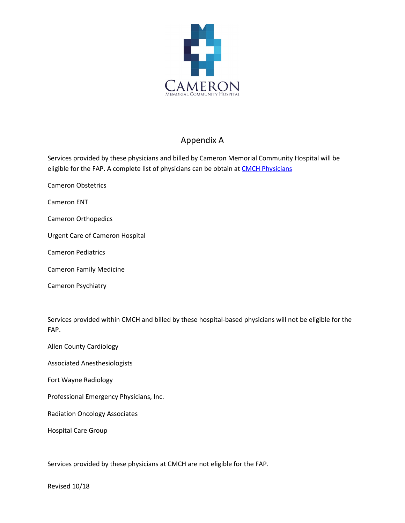

## Appendix A

Services provided by these physicians and billed by Cameron Memorial Community Hospital will be eligible for the FAP. A complete list of physicians can be obtain a[t CMCH Physicians](https://www.cameronmch.com/find-a-specialist-schedule/)

Cameron Obstetrics

Cameron ENT

Cameron Orthopedics

Urgent Care of Cameron Hospital

Cameron Pediatrics

Cameron Family Medicine

Cameron Psychiatry

Services provided within CMCH and billed by these hospital-based physicians will not be eligible for the FAP.

Allen County Cardiology

Associated Anesthesiologists

Fort Wayne Radiology

Professional Emergency Physicians, Inc.

Radiation Oncology Associates

Hospital Care Group

Services provided by these physicians at CMCH are not eligible for the FAP.

Revised 10/18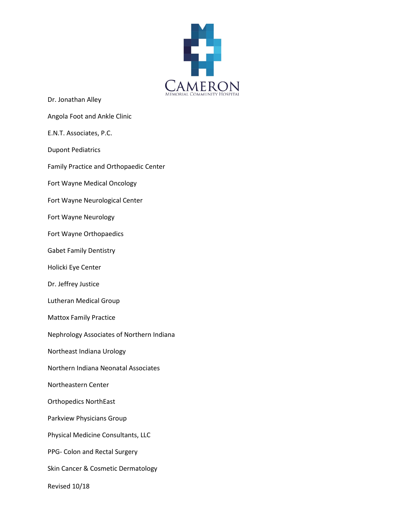

- Dr. Jonathan Alley
- Angola Foot and Ankle Clinic
- E.N.T. Associates, P.C.
- Dupont Pediatrics
- Family Practice and Orthopaedic Center
- Fort Wayne Medical Oncology
- Fort Wayne Neurological Center
- Fort Wayne Neurology
- Fort Wayne Orthopaedics
- Gabet Family Dentistry
- Holicki Eye Center
- Dr. Jeffrey Justice
- Lutheran Medical Group
- Mattox Family Practice
- Nephrology Associates of Northern Indiana
- Northeast Indiana Urology
- Northern Indiana Neonatal Associates
- Northeastern Center
- Orthopedics NorthEast
- Parkview Physicians Group
- Physical Medicine Consultants, LLC
- PPG- Colon and Rectal Surgery
- Skin Cancer & Cosmetic Dermatology
- Revised 10/18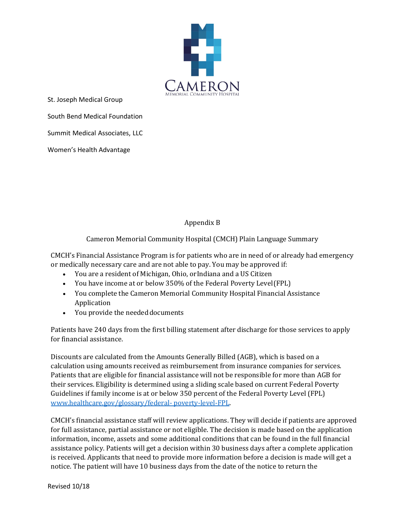

St. Joseph Medical Group South Bend Medical Foundation Summit Medical Associates, LLC

Women's Health Advantage

### Appendix B

Cameron Memorial Community Hospital (CMCH) Plain Language Summary

CMCH's Financial Assistance Program is for patients who are in need of or already had emergency or medically necessary care and are not able to pay. You may be approved if:

- You are a resident of Michigan, Ohio, orIndiana and a US Citizen
- You have income at or below 350% of the Federal Poverty Level(FPL)
- You complete the Cameron Memorial Community Hospital Financial Assistance Application
- You provide the needed documents

Patients have 240 days from the first billing statement after discharge for those services to apply for financial assistance.

Discounts are calculated from the Amounts Generally Billed (AGB), which is based on a calculation using amounts received as reimbursement from insurance companies for services. Patients that are eligible for financial assistance will not be responsible for more than AGB for their services. Eligibility is determined using a sliding scale based on current Federal Poverty Guidelines if family income is at or below 350 percent of the Federal Poverty Level (FPL) [www.healthcare.gov/glossary/federal-](http://www.healthcare.gov/glossary/federal-poverty-level-FPL) [poverty-level-FPL.](http://www.healthcare.gov/glossary/federal-poverty-level-FPL)

CMCH's financial assistance staff will review applications. They will decide if patients are approved for full assistance, partial assistance or not eligible. The decision is made based on the application information, income, assets and some additional conditions that can be found in the full financial assistance policy. Patients will get a decision within 30 business days after a complete application is received. Applicants that need to provide more information before a decision is made will get a notice. The patient will have 10 business days from the date of the notice to return the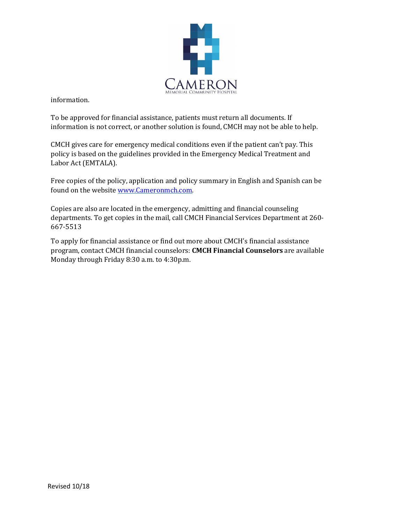

information.

To be approved for financial assistance, patients must return all documents. If information is not correct, or another solution is found, CMCH may not be able to help.

CMCH gives care for emergency medical conditions even if the patient can't pay. This policy is based on the guidelines provided in the Emergency Medical Treatment and Labor Act (EMTALA).

Free copies of the policy, application and policy summary in English and Spanish can be found on the website [www.Cameronmch.com.](http://www.cameronmch.com/)

Copies are also are located in the emergency, admitting and financial counseling departments. To get copies in the mail, call CMCH Financial Services Department at 260- 667-5513

To apply for financial assistance or find out more about CMCH's financial assistance program, contact CMCH financial counselors: **CMCH Financial Counselors** are available Monday through Friday 8:30 a.m. to 4:30p.m.